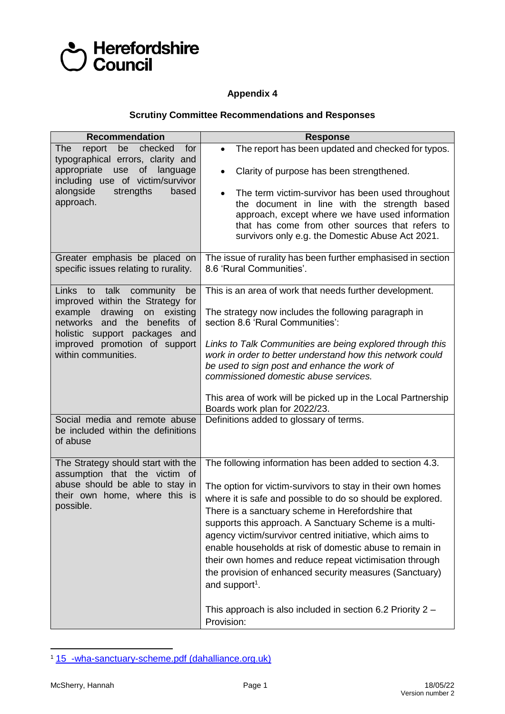

## **Appendix 4**

## **Scrutiny Committee Recommendations and Responses**

| <b>Recommendation</b>                                                                                                                                                                                                           | <b>Response</b>                                                                                                                                                                                                                                                                                                                                                                                                                                                                                                                                                                 |
|---------------------------------------------------------------------------------------------------------------------------------------------------------------------------------------------------------------------------------|---------------------------------------------------------------------------------------------------------------------------------------------------------------------------------------------------------------------------------------------------------------------------------------------------------------------------------------------------------------------------------------------------------------------------------------------------------------------------------------------------------------------------------------------------------------------------------|
| checked<br>report<br><b>The</b><br>be<br>for<br>typographical errors, clarity and<br>of language<br>appropriate<br>use<br>including use of victim/survivor<br>alongside<br>strengths<br>based<br>approach.                      | The report has been updated and checked for typos.<br>$\bullet$<br>Clarity of purpose has been strengthened.<br>$\bullet$<br>The term victim-survivor has been used throughout<br>$\bullet$<br>the document in line with the strength based<br>approach, except where we have used information<br>that has come from other sources that refers to<br>survivors only e.g. the Domestic Abuse Act 2021.                                                                                                                                                                           |
| Greater emphasis be placed on<br>specific issues relating to rurality.                                                                                                                                                          | The issue of rurality has been further emphasised in section<br>8.6 'Rural Communities'.                                                                                                                                                                                                                                                                                                                                                                                                                                                                                        |
| Links to talk community<br>be<br>improved within the Strategy for<br>example drawing<br>on existing<br>networks and the<br>benefits of<br>holistic support packages and<br>improved promotion of support<br>within communities. | This is an area of work that needs further development.<br>The strategy now includes the following paragraph in<br>section 8.6 'Rural Communities':<br>Links to Talk Communities are being explored through this<br>work in order to better understand how this network could<br>be used to sign post and enhance the work of<br>commissioned domestic abuse services.<br>This area of work will be picked up in the Local Partnership<br>Boards work plan for 2022/23.                                                                                                         |
| Social media and remote abuse<br>be included within the definitions<br>of abuse                                                                                                                                                 | Definitions added to glossary of terms.                                                                                                                                                                                                                                                                                                                                                                                                                                                                                                                                         |
| The Strategy should start with the<br>assumption that the victim of<br>abuse should be able to stay in<br>their own home, where this is<br>possible.                                                                            | The following information has been added to section 4.3.<br>The option for victim-survivors to stay in their own homes<br>where it is safe and possible to do so should be explored.<br>There is a sanctuary scheme in Herefordshire that<br>supports this approach. A Sanctuary Scheme is a multi-<br>agency victim/survivor centred initiative, which aims to<br>enable households at risk of domestic abuse to remain in<br>their own homes and reduce repeat victimisation through<br>the provision of enhanced security measures (Sanctuary)<br>and support <sup>1</sup> . |
|                                                                                                                                                                                                                                 | This approach is also included in section 6.2 Priority 2 -<br>Provision:                                                                                                                                                                                                                                                                                                                                                                                                                                                                                                        |

<sup>1</sup> [15\\_-wha-sanctuary-scheme.pdf \(dahalliance.org.uk\)](https://www.dahalliance.org.uk/media/10661/15_-wha-sanctuary-scheme.pdf)

 $\overline{a}$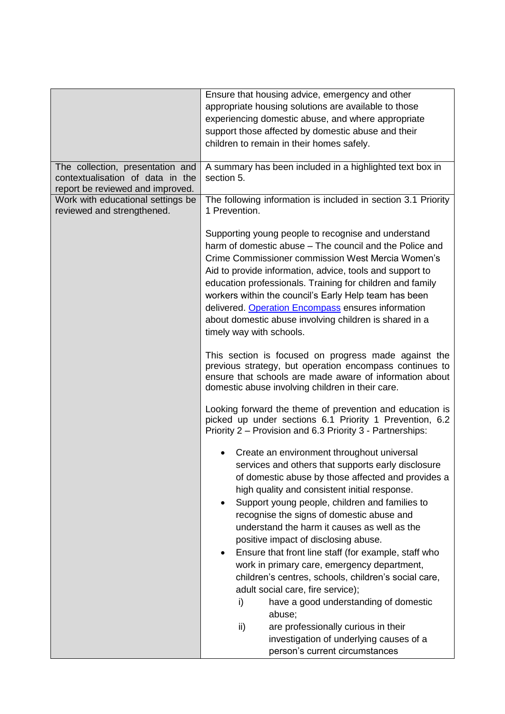|                                                                 | Ensure that housing advice, emergency and other                                                                                                                                                                                                                                                                                                                                                                                                                                                                                                                                                                                                             |
|-----------------------------------------------------------------|-------------------------------------------------------------------------------------------------------------------------------------------------------------------------------------------------------------------------------------------------------------------------------------------------------------------------------------------------------------------------------------------------------------------------------------------------------------------------------------------------------------------------------------------------------------------------------------------------------------------------------------------------------------|
|                                                                 | appropriate housing solutions are available to those                                                                                                                                                                                                                                                                                                                                                                                                                                                                                                                                                                                                        |
|                                                                 | experiencing domestic abuse, and where appropriate                                                                                                                                                                                                                                                                                                                                                                                                                                                                                                                                                                                                          |
|                                                                 | support those affected by domestic abuse and their                                                                                                                                                                                                                                                                                                                                                                                                                                                                                                                                                                                                          |
|                                                                 |                                                                                                                                                                                                                                                                                                                                                                                                                                                                                                                                                                                                                                                             |
|                                                                 | children to remain in their homes safely.                                                                                                                                                                                                                                                                                                                                                                                                                                                                                                                                                                                                                   |
| The collection, presentation and                                | A summary has been included in a highlighted text box in                                                                                                                                                                                                                                                                                                                                                                                                                                                                                                                                                                                                    |
| contextualisation of data in the                                | section 5.                                                                                                                                                                                                                                                                                                                                                                                                                                                                                                                                                                                                                                                  |
| report be reviewed and improved.                                |                                                                                                                                                                                                                                                                                                                                                                                                                                                                                                                                                                                                                                                             |
| Work with educational settings be<br>reviewed and strengthened. | The following information is included in section 3.1 Priority<br>1 Prevention.                                                                                                                                                                                                                                                                                                                                                                                                                                                                                                                                                                              |
|                                                                 | Supporting young people to recognise and understand<br>harm of domestic abuse – The council and the Police and<br>Crime Commissioner commission West Mercia Women's<br>Aid to provide information, advice, tools and support to<br>education professionals. Training for children and family<br>workers within the council's Early Help team has been<br>delivered. Operation Encompass ensures information<br>about domestic abuse involving children is shared in a<br>timely way with schools.                                                                                                                                                           |
|                                                                 | This section is focused on progress made against the<br>previous strategy, but operation encompass continues to<br>ensure that schools are made aware of information about<br>domestic abuse involving children in their care.                                                                                                                                                                                                                                                                                                                                                                                                                              |
|                                                                 | Looking forward the theme of prevention and education is<br>picked up under sections 6.1 Priority 1 Prevention, 6.2<br>Priority 2 – Provision and 6.3 Priority 3 - Partnerships:                                                                                                                                                                                                                                                                                                                                                                                                                                                                            |
|                                                                 | Create an environment throughout universal<br>services and others that supports early disclosure<br>of domestic abuse by those affected and provides a<br>high quality and consistent initial response.<br>Support young people, children and families to<br>recognise the signs of domestic abuse and<br>understand the harm it causes as well as the<br>positive impact of disclosing abuse.<br>Ensure that front line staff (for example, staff who<br>work in primary care, emergency department,<br>children's centres, schools, children's social care,<br>adult social care, fire service);<br>have a good understanding of domestic<br>i)<br>abuse; |
|                                                                 | are professionally curious in their<br>ii)<br>investigation of underlying causes of a<br>person's current circumstances                                                                                                                                                                                                                                                                                                                                                                                                                                                                                                                                     |